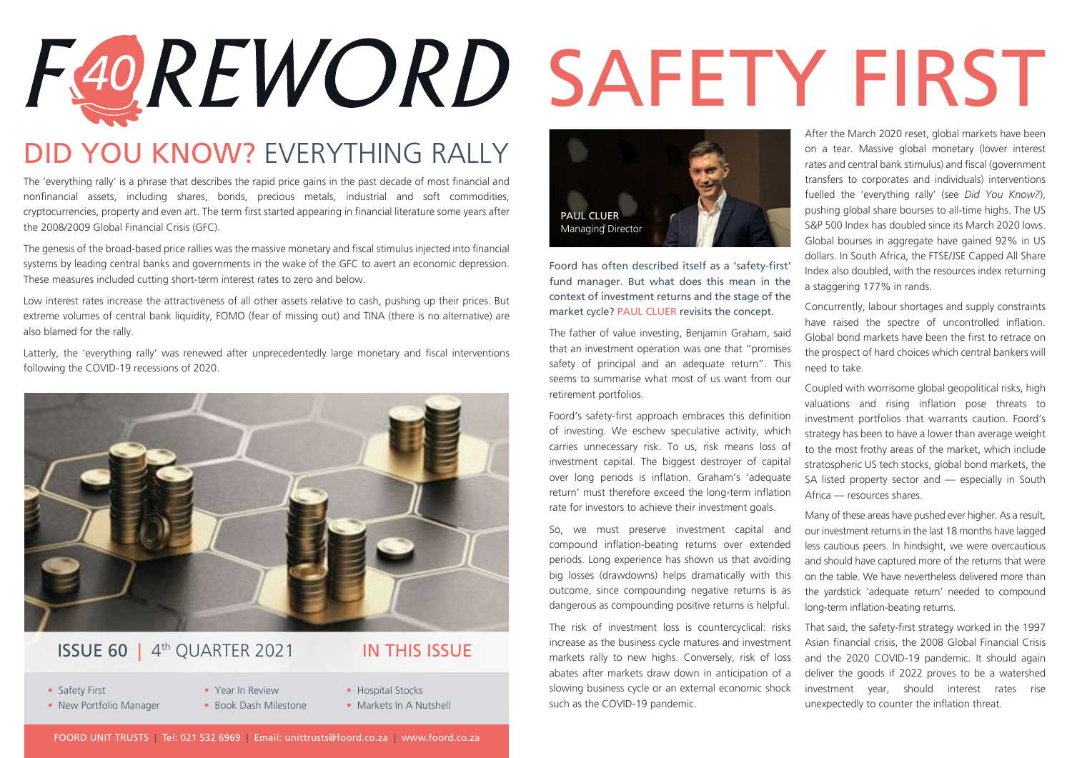# F40REWORD SAFETY FIRST

### DID YOU KNOW? EVERYTHING RALLY

The 'everything rally' is a phrase that describes the rapid price gains in the past decade of most financial and nonfinancial assets, including shares, bonds, precious metals, industrial and soft commodities, cryptocurrencies, property and even art. The term first started appearing in financial literature some years after the 2008/2009 Global Financial Crisis (GFC).

The genesis of the broad-based price rallies was the massive monetary and fiscal stimulus injected into financial systems by leading central banks and governments in the wake of the GFC to avert an economic depression. These measures included cutting short-term interest rates to zero and below.

Low interest rates increase the attractiveness of all other assets relative to cash, pushing up their prices. But extreme volumes of central bank liquidity, FOMO (fear of missing out) and TINA (there is no alternative) are also blamed for the rally.

Latterly, the 'everything rally' was renewed after unprecedentedly large monetary and fiscal interventions following the COVID-19 recessions of 2020.



#### **ISSUE 60 | 4<sup>th</sup> OUARTER 2021 IN THIS ISSUE**

- Safety First Year In Review Hospital Stocks
- 
- 
- 
- New Portfolio Manager Book Dash Milestone Markets In A Nutshell



Foord has often described itself as a 'safety-first' fund manager. But what does this mean in the context of investment returns and the stage of the market cycle? PAUL CLUER revisits the concept.

The father of value investing, Benjamin Graham, said that an investment operation was one that "promises safety of principal and an adequate return". This seems to summarise what most of us want from our retirement portfolios.

Foord's safety-first approach embraces this definition of investing. We eschew speculative activity, which carries unnecessary risk. To us, risk means loss of investment capital. The biggest destroyer of capital over long periods is inflation. Graham's 'adequate return' must therefore exceed the long-term inflation rate for investors to achieve their investment goals.

So, we must preserve investment capital and compound inflation-beating returns over extended periods. Long experience has shown us that avoiding big losses (drawdowns) helps dramatically with this outcome, since compounding negative returns is as dangerous as compounding positive returns is helpful.

The risk of investment loss is countercyclical: risks increase as the business cycle matures and investment markets rally to new highs. Conversely, risk of loss abates after markets draw down in anticipation of a slowing business cycle or an external economic shock such as the COVID-19 pandemic.

After the March 2020 reset, global markets have been on a tear. Massive global monetary (lower interest rates and central bank stimulus) and fiscal (government transfers to corporates and individuals) interventions fuelled the 'everything rally' (see *Did You Know?*), pushing global share bourses to all-time highs. The US S&P 500 Index has doubled since its March 2020 lows. Global bourses in aggregate have gained 92% in US dollars. In South Africa, the FTSE/JSE Capped All Share Index also doubled, with the resources index returning a staggering 177% in rands.

Concurrently, labour shortages and supply constraints have raised the spectre of uncontrolled inflation. Global bond markets have been the first to retrace on the prospect of hard choices which central bankers will need to take.

Coupled with worrisome global geopolitical risks, high valuations and rising inflation pose threats to investment portfolios that warrants caution. Foord's strategy has been to have a lower than average weight to the most frothy areas of the market, which include stratospheric US tech stocks, global bond markets, the SA listed property sector and — especially in South Africa — resources shares.

Many of these areas have pushed ever higher. As a result, our investment returns in the last 18 months have lagged less cautious peers. In hindsight, we were overcautious and should have captured more of the returns that were on the table. We have nevertheless delivered more than the yardstick 'adequate return' needed to compound long-term inflation-beating returns.

That said, the safety-first strategy worked in the 1997 Asian financial crisis, the 2008 Global Financial Crisis and the 2020 COVID-19 pandemic. It should again deliver the goods if 2022 proves to be a watershed investment year, should interest rates rise unexpectedly to counter the inflation threat.

FOORD UNIT TRUSTS | Tel: 021 532 6969 | Email: unittrusts@foord.co.za | www.foord.co.za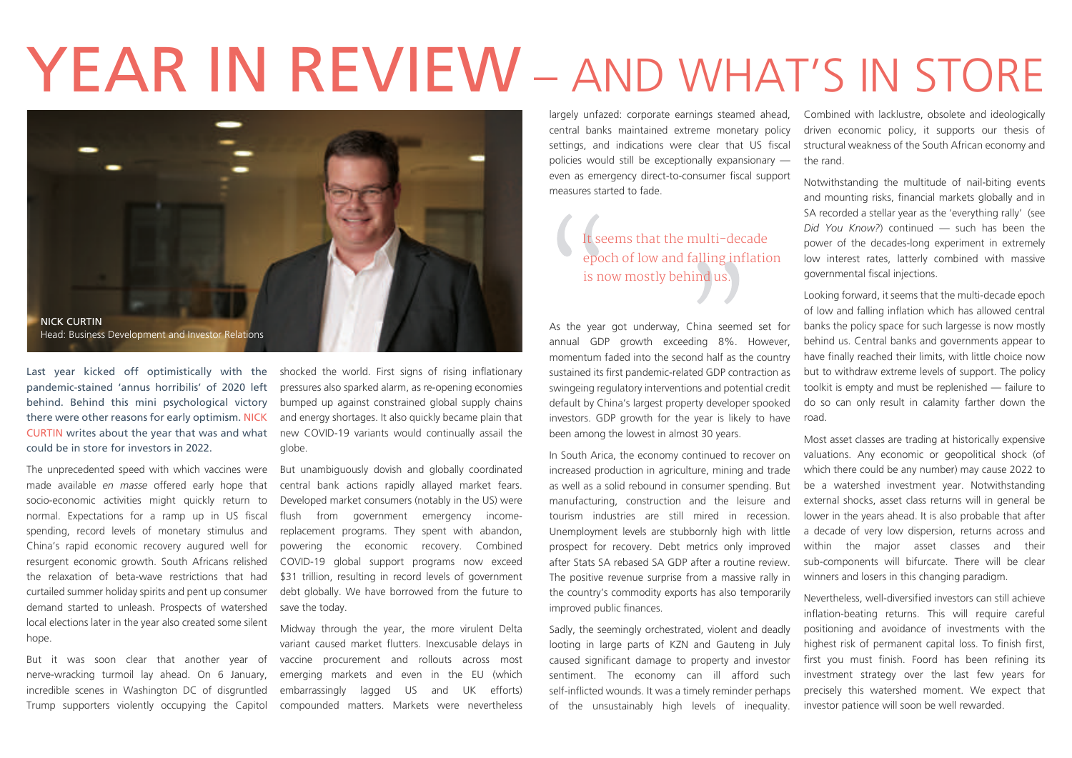## YEAR IN REVIEW - AND WHAT'S IN STORE



Last year kicked off optimistically with the pandemic-stained 'annus horribilis' of 2020 left behind. Behind this mini psychological victory there were other reasons for early optimism. NICK CURTIN writes about the year that was and what could be in store for investors in 2022.

The unprecedented speed with which vaccines were made available *en masse* offered early hope that socio-economic activities might quickly return to normal. Expectations for a ramp up in US fiscal spending, record levels of monetary stimulus and China's rapid economic recovery augured well for resurgent economic growth. South Africans relished the relaxation of beta-wave restrictions that had curtailed summer holiday spirits and pent up consumer demand started to unleash. Prospects of watershed local elections later in the year also created some silent hope.

But it was soon clear that another year of nerve-wracking turmoil lay ahead. On 6 January, incredible scenes in Washington DC of disgruntled Trump supporters violently occupying the Capitol

shocked the world. First signs of rising inflationary pressures also sparked alarm, as re-opening economies bumped up against constrained global supply chains and energy shortages. It also quickly became plain that new COVID-19 variants would continually assail the globe.

But unambiguously dovish and globally coordinated central bank actions rapidly allayed market fears. Developed market consumers (notably in the US) were flush from government emergency incomereplacement programs. They spent with abandon, powering the economic recovery. Combined COVID-19 global support programs now exceed \$31 trillion, resulting in record levels of government debt globally. We have borrowed from the future to save the today.

Midway through the year, the more virulent Delta variant caused market flutters. Inexcusable delays in vaccine procurement and rollouts across most emerging markets and even in the EU (which embarrassingly lagged US and UK efforts) compounded matters. Markets were nevertheless

largely unfazed: corporate earnings steamed ahead, central banks maintained extreme monetary policy settings, and indications were clear that US fiscal policies would still be exceptionally expansionary even as emergency direct-to-consumer fiscal support measures started to fade.

> It seems that the multi-decade epoch of low and falling inflation is now mostly behind us.

As the year got underway, China seemed set for annual GDP growth exceeding 8%. However, momentum faded into the second half as the country sustained its first pandemic-related GDP contraction as swingeing regulatory interventions and potential credit default by China's largest property developer spooked investors. GDP growth for the year is likely to have been among the lowest in almost 30 years.

In South Arica, the economy continued to recover on increased production in agriculture, mining and trade as well as a solid rebound in consumer spending. But manufacturing, construction and the leisure and tourism industries are still mired in recession. Unemployment levels are stubbornly high with little prospect for recovery. Debt metrics only improved after Stats SA rebased SA GDP after a routine review. The positive revenue surprise from a massive rally in the country's commodity exports has also temporarily improved public finances.

Sadly, the seemingly orchestrated, violent and deadly looting in large parts of KZN and Gauteng in July caused significant damage to property and investor sentiment. The economy can ill afford such self-inflicted wounds. It was a timely reminder perhaps of the unsustainably high levels of inequality.

Combined with lacklustre, obsolete and ideologically driven economic policy, it supports our thesis of structural weakness of the South African economy and the rand.

Notwithstanding the multitude of nail-biting events and mounting risks, financial markets globally and in SA recorded a stellar year as the 'everything rally' (see *Did You Know?*) continued — such has been the power of the decades-long experiment in extremely low interest rates, latterly combined with massive governmental fiscal injections.

Looking forward, it seems that the multi-decade epoch of low and falling inflation which has allowed central banks the policy space for such largesse is now mostly behind us. Central banks and governments appear to have finally reached their limits, with little choice now but to withdraw extreme levels of support. The policy toolkit is empty and must be replenished — failure to do so can only result in calamity farther down the road.

Most asset classes are trading at historically expensive valuations. Any economic or geopolitical shock (of which there could be any number) may cause 2022 to be a watershed investment year. Notwithstanding external shocks, asset class returns will in general be lower in the years ahead. It is also probable that after a decade of very low dispersion, returns across and within the major asset classes and their sub-components will bifurcate. There will be clear winners and losers in this changing paradigm.

Nevertheless, well-diversified investors can still achieve inflation-beating returns. This will require careful positioning and avoidance of investments with the highest risk of permanent capital loss. To finish first, first you must finish. Foord has been refining its investment strategy over the last few years for precisely this watershed moment. We expect that investor patience will soon be well rewarded.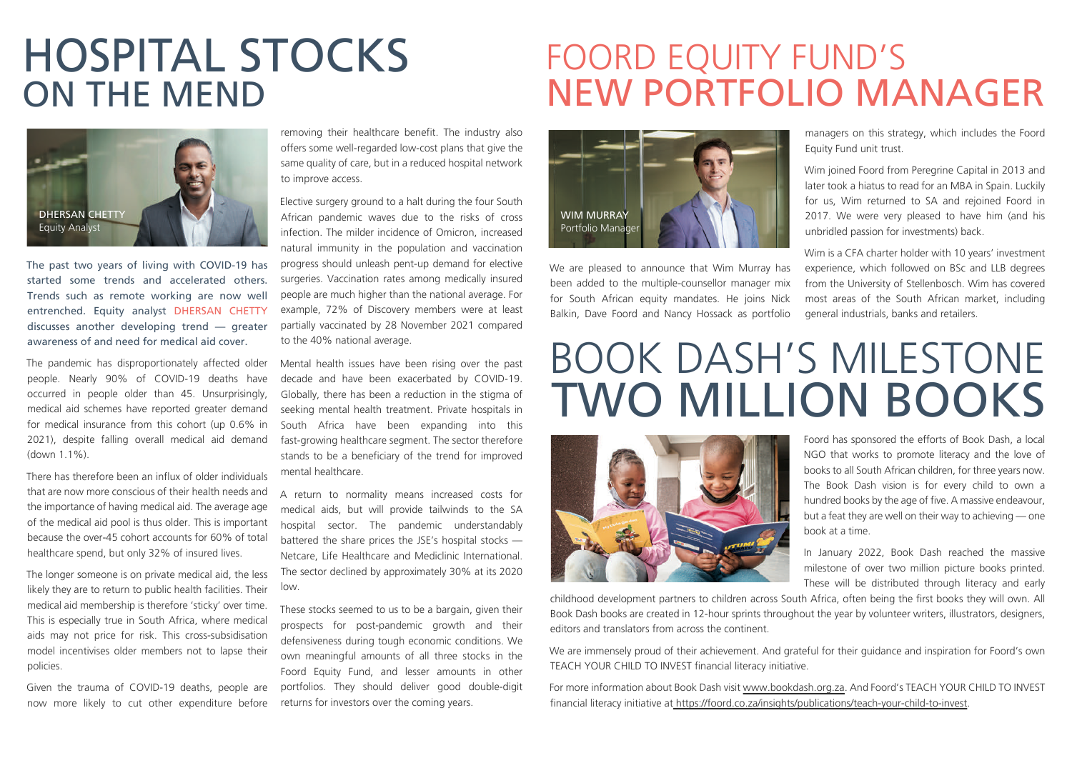## HOSPITAL STOCKS ON THE MEND

## FOORD EQUITY FUND'S NEW PORTFOLIO MANAGER



The past two years of living with COVID-19 has started some trends and accelerated others. Trends such as remote working are now well entrenched. Equity analyst DHERSAN CHETTY discusses another developing trend — greater awareness of and need for medical aid cover.

The pandemic has disproportionately affected older people. Nearly 90% of COVID-19 deaths have occurred in people older than 45. Unsurprisingly, medical aid schemes have reported greater demand for medical insurance from this cohort (up 0.6% in 2021), despite falling overall medical aid demand (down 1.1%).

There has therefore been an influx of older individuals that are now more conscious of their health needs and the importance of having medical aid. The average age of the medical aid pool is thus older. This is important because the over-45 cohort accounts for 60% of total healthcare spend, but only 32% of insured lives.

The longer someone is on private medical aid, the less likely they are to return to public health facilities. Their medical aid membership is therefore 'sticky' over time. This is especially true in South Africa, where medical aids may not price for risk. This cross-subsidisation model incentivises older members not to lapse their policies.

Given the trauma of COVID-19 deaths, people are now more likely to cut other expenditure before removing their healthcare benefit. The industry also offers some well-regarded low-cost plans that give the same quality of care, but in a reduced hospital network to improve access.

Elective surgery ground to a halt during the four South African pandemic waves due to the risks of cross infection. The milder incidence of Omicron, increased natural immunity in the population and vaccination progress should unleash pent-up demand for elective surgeries. Vaccination rates among medically insured people are much higher than the national average. For example, 72% of Discovery members were at least partially vaccinated by 28 November 2021 compared to the 40% national average.

Mental health issues have been rising over the past decade and have been exacerbated by COVID-19. Globally, there has been a reduction in the stigma of seeking mental health treatment. Private hospitals in South Africa have been expanding into this fast-growing healthcare segment. The sector therefore stands to be a beneficiary of the trend for improved mental healthcare.

A return to normality means increased costs for medical aids, but will provide tailwinds to the SA hospital sector. The pandemic understandably battered the share prices the JSE's hospital stocks — Netcare, Life Healthcare and Mediclinic International. The sector declined by approximately 30% at its 2020 low.

These stocks seemed to us to be a bargain, given their prospects for post-pandemic growth and their defensiveness during tough economic conditions. We own meaningful amounts of all three stocks in the Foord Equity Fund, and lesser amounts in other portfolios. They should deliver good double-digit returns for investors over the coming years.



We are pleased to announce that Wim Murray has been added to the multiple-counsellor manager mix for South African equity mandates. He joins Nick Balkin, Dave Foord and Nancy Hossack as portfolio managers on this strategy, which includes the Foord Equity Fund unit trust.

Wim joined Foord from Peregrine Capital in 2013 and later took a hiatus to read for an MBA in Spain. Luckily for us, Wim returned to SA and rejoined Foord in 2017. We were very pleased to have him (and his unbridled passion for investments) back.

Wim is a CFA charter holder with 10 years' investment experience, which followed on BSc and LLB degrees from the University of Stellenbosch. Wim has covered most areas of the South African market, including general industrials, banks and retailers.

## BOOK DASH'S MILESTONE TWO MILLION BOOKS



Foord has sponsored the efforts of Book Dash, a local NGO that works to promote literacy and the love of books to all South African children, for three years now. The Book Dash vision is for every child to own a hundred books by the age of five. A massive endeavour, but a feat they are well on their way to achieving — one book at a time.

In January 2022, Book Dash reached the massive milestone of over two million picture books printed. These will be distributed through literacy and early

childhood development partners to children across South Africa, often being the first books they will own. All Book Dash books are created in 12-hour sprints throughout the year by volunteer writers, illustrators, designers, editors and translators from across the continent.

We are immensely proud of their achievement. And grateful for their guidance and inspiration for Foord's own TEACH YOUR CHILD TO INVEST financial literacy initiative.

For more information about Book Dash visit www.bookdash.org.za. And Foord's TEACH YOUR CHILD TO INVEST financial literacy initiative at https://foord.co.za/insights/publications/teach-your-child-to-invest.